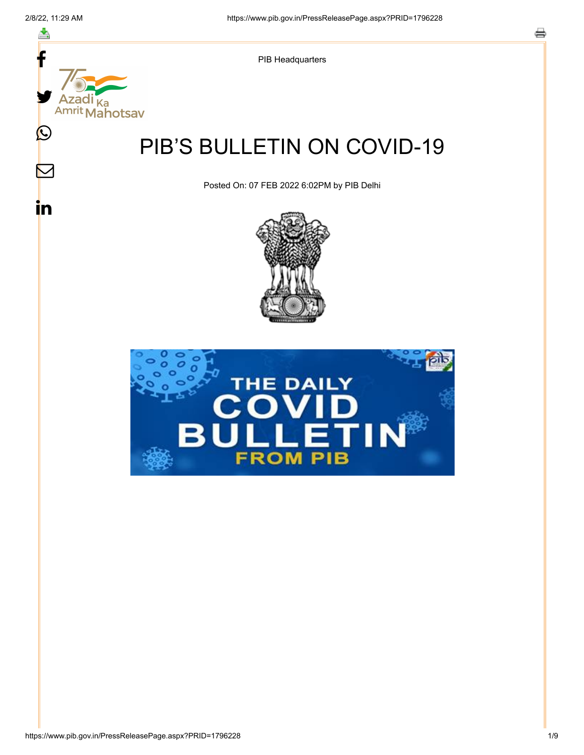f

≛

y.

Ka

 $\bigcirc$ 

 $\boldsymbol{\mathsf{M}}$ 

in



# PIB'S BULLETIN ON COVID-19

Posted On: 07 FEB 2022 6:02PM by PIB Delhi



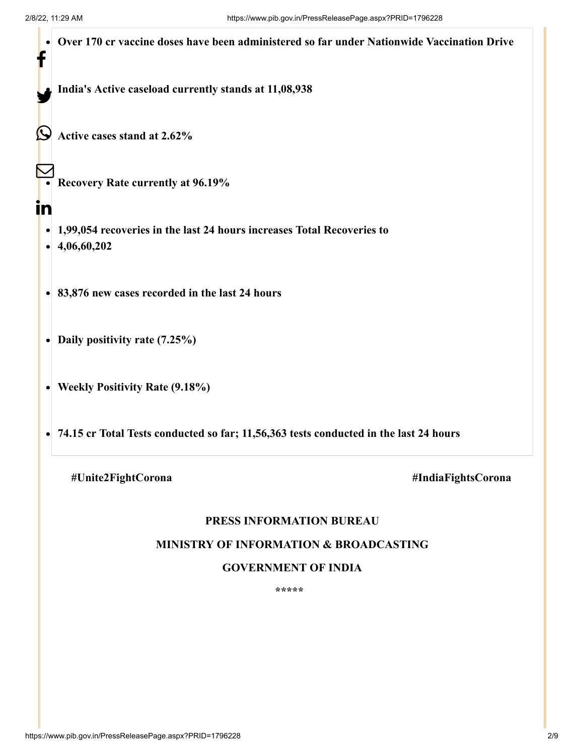| f  | Over 170 cr vaccine doses have been administered so far under Nationwide Vaccination Drive |  |  |
|----|--------------------------------------------------------------------------------------------|--|--|
|    | India's Active caseload currently stands at 11,08,938                                      |  |  |
|    | Active cases stand at 2.62%                                                                |  |  |
|    | <b>Recovery Rate currently at 96.19%</b>                                                   |  |  |
| in |                                                                                            |  |  |
|    | 1,99,054 recoveries in the last 24 hours increases Total Recoveries to<br>4,06,60,202      |  |  |
|    | 83,876 new cases recorded in the last 24 hours                                             |  |  |
|    | Daily positivity rate (7.25%)                                                              |  |  |
|    | <b>Weekly Positivity Rate (9.18%)</b>                                                      |  |  |
|    | 74.15 cr Total Tests conducted so far; 11,56,363 tests conducted in the last 24 hours      |  |  |
|    | #Unite2FightCorona<br>#IndiaFightsCorona                                                   |  |  |

## **PRESS INFORMATION BUREAU**

#### **MINISTRY OF INFORMATION & BROADCASTING**

## **GOVERNMENT OF INDIA**

**\*\*\*\*\***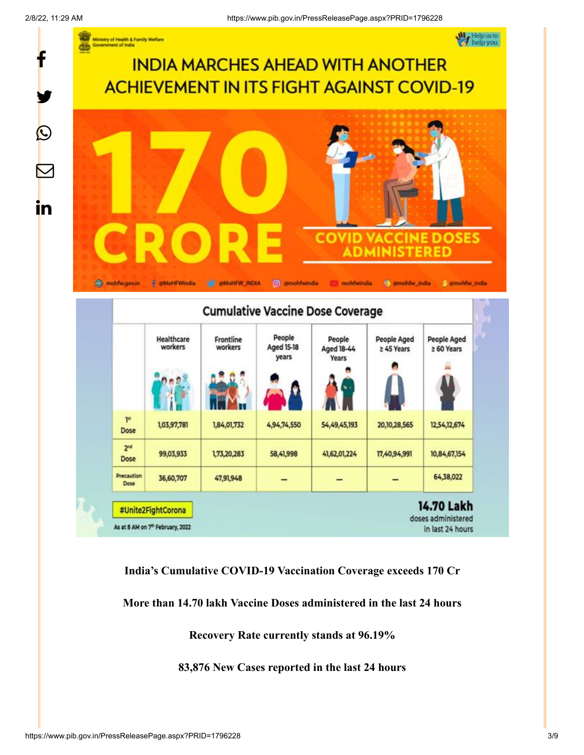f

 $\boldsymbol{\mathcal{Q}}$ 

**in** 



**India's Cumulative COVID-19 Vaccination Coverage exceeds 170 Cr**

**More than 14.70 lakh Vaccine Doses administered in the last 24 hours**

**Recovery Rate currently stands at 96.19%**

**83,876 New Cases reported in the last 24 hours**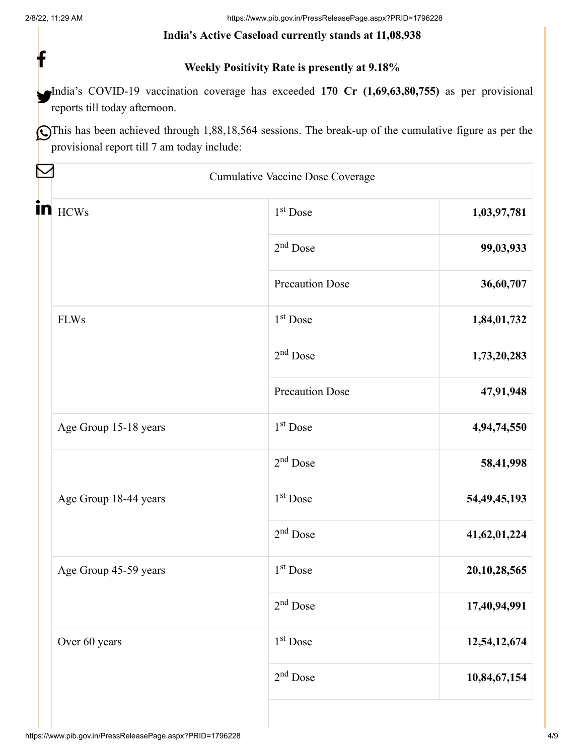f

#### **India's Active Caseload currently stands at 11,08,938**

## **Weekly Positivity Rate is presently at 9.18%**

India's COVID-19 vaccination coverage has exceeded 170 Cr (1,69,63,80,755) as per provisional reports till today afternoon.

OThis has been achieved through 1,88,18,564 sessions. The break-up of the cumulative figure as per the provisional report till 7 am today include:

|                       | Cumulative Vaccine Dose Coverage |                 |
|-----------------------|----------------------------------|-----------------|
| in <b>HCWs</b>        | 1 <sup>st</sup> Dose             | 1,03,97,781     |
|                       | $2nd$ Dose                       | 99,03,933       |
|                       | <b>Precaution Dose</b>           | 36,60,707       |
| <b>FLWs</b>           | $1st$ Dose                       | 1,84,01,732     |
|                       | 2 <sup>nd</sup> Dose             | 1,73,20,283     |
|                       | <b>Precaution Dose</b>           | 47,91,948       |
| Age Group 15-18 years | 1 <sup>st</sup> Dose             | 4,94,74,550     |
|                       | $2nd$ Dose                       | 58,41,998       |
| Age Group 18-44 years | $1st$ Dose                       | 54, 49, 45, 193 |
|                       | $2nd$ Dose                       | 41,62,01,224    |
| Age Group 45-59 years | 1 <sup>st</sup> Dose             | 20,10,28,565    |
|                       | $2nd$ Dose                       | 17,40,94,991    |
| Over 60 years         | 1 <sup>st</sup> Dose             | 12,54,12,674    |
|                       | $2nd$ Dose                       | 10,84,67,154    |
|                       |                                  |                 |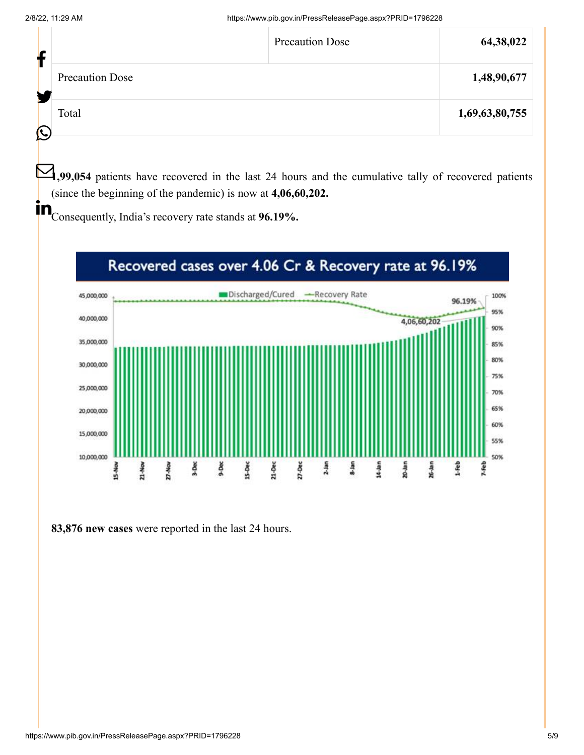|                        | <b>Precaution Dose</b> | 64,38,022      |
|------------------------|------------------------|----------------|
| <b>Precaution Dose</b> |                        | 1,48,90,677    |
| Total                  |                        | 1,69,63,80,755 |
|                        |                        |                |

**1,99,054** patients have recovered in the last 24 hours and the cumulative tally of recovered patients (since the beginning of the pandemic) is now at **4,06,60,202.**

**in**<br>Consequently, India's recovery rate stands at **96.19%.** 



**83,876 new cases** were reported in the last 24 hours.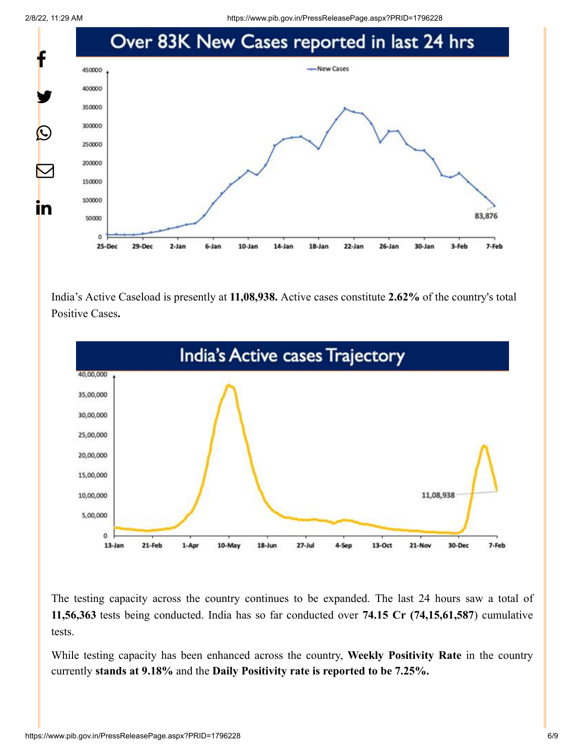2/8/22, 11:29 AM https://www.pib.gov.in/PressReleasePage.aspx?PRID=1796228



India's Active Caseload is presently at **11,08,938.** Active cases constitute **2.62%** of the country's total Positive Cases**.**



The testing capacity across the country continues to be expanded. The last 24 hours saw a total of **11,56,363** tests being conducted. India has so far conducted over **74.15 Cr (74,15,61,587**) cumulative tests.

While testing capacity has been enhanced across the country, **Weekly Positivity Rate** in the country currently **stands at 9.18%** and the **Daily Positivity rate is reported to be 7.25%.**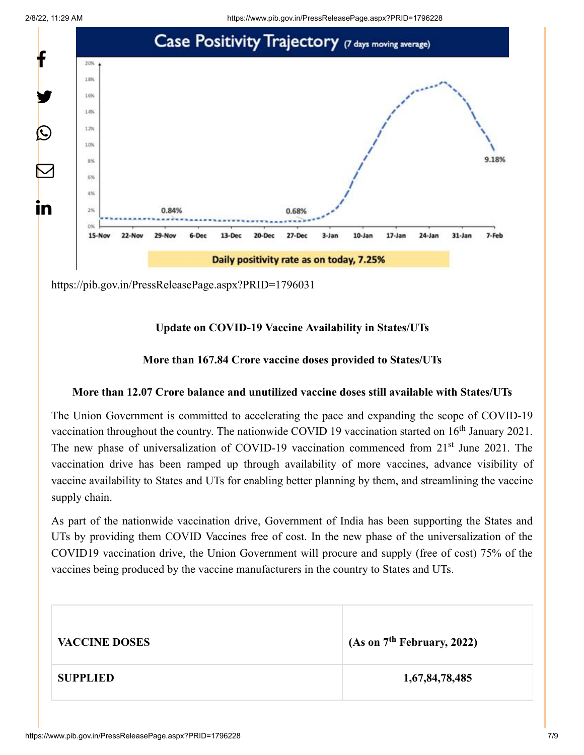



<https://pib.gov.in/PressReleasePage.aspx?PRID=1796031>

## **Update on COVID-19 Vaccine Availability in States/UTs**

## **More than 167.84 Crore vaccine doses provided to States/UTs**

### **More than 12.07 Crore balance and unutilized vaccine doses still available with States/UTs**

The Union Government is committed to accelerating the pace and expanding the scope of COVID-19 vaccination throughout the country. The nationwide COVID 19 vaccination started on  $16<sup>th</sup>$  January 2021. The new phase of universalization of COVID-19 vaccination commenced from 21<sup>st</sup> June 2021. The vaccination drive has been ramped up through availability of more vaccines, advance visibility of vaccine availability to States and UTs for enabling better planning by them, and streamlining the vaccine supply chain.

As part of the nationwide vaccination drive, Government of India has been supporting the States and UTs by providing them COVID Vaccines free of cost. In the new phase of the universalization of the COVID19 vaccination drive, the Union Government will procure and supply (free of cost) 75% of the vaccines being produced by the vaccine manufacturers in the country to States and UTs.

| <b>VACCINE DOSES</b> | (As on $7th$ February, 2022) |
|----------------------|------------------------------|
| <b>SUPPLIED</b>      | 1,67,84,78,485               |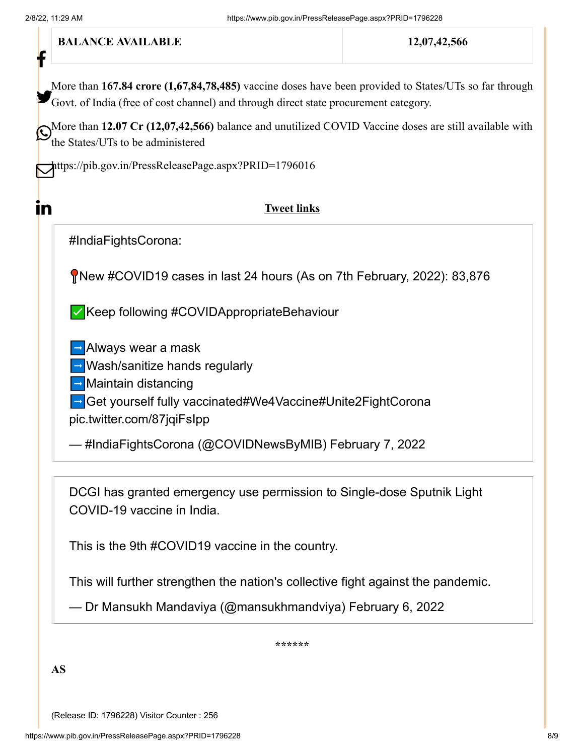